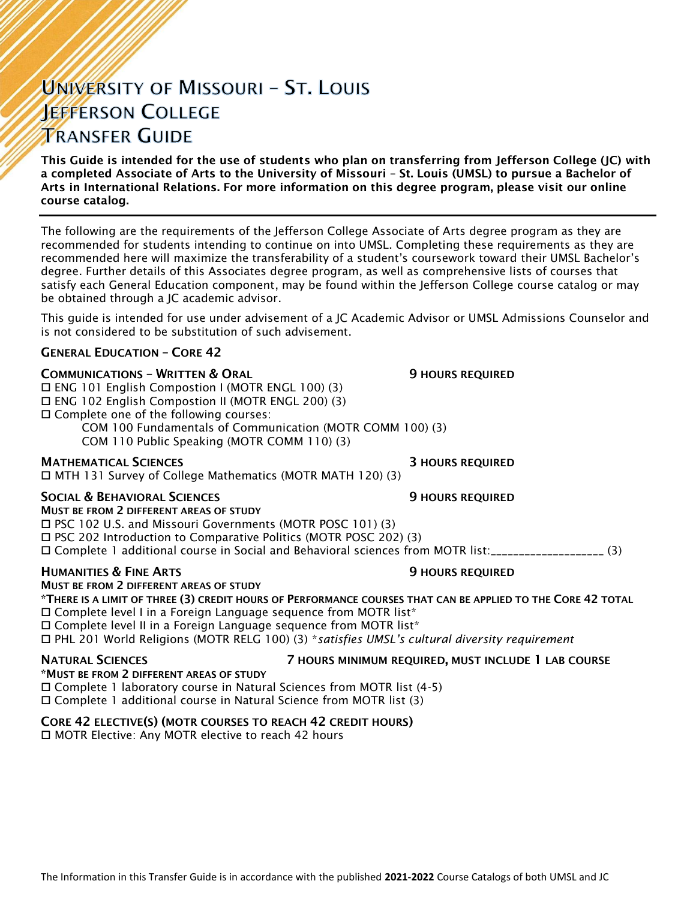# UNIVERSITY OF MISSOURI - ST. LOUIS **JEFFERSON COLLEGE TRANSFER GUIDE**

This Guide is intended for the use of students who plan on transferring from Jefferson College (JC) with a completed Associate of Arts to the University of Missouri – St. Louis (UMSL) to pursue a Bachelor of Arts in International Relations. For more information on this degree program, please visit our online course catalog.

The following are the requirements of the Jefferson College Associate of Arts degree program as they are recommended for students intending to continue on into UMSL. Completing these requirements as they are recommended here will maximize the transferability of a student's coursework toward their UMSL Bachelor's degree. Further details of this Associates degree program, as well as comprehensive lists of courses that satisfy each General Education component, may be found within the Jefferson College course catalog or may be obtained through a JC academic advisor.

This guide is intended for use under advisement of a JC Academic Advisor or UMSL Admissions Counselor and is not considered to be substitution of such advisement.

#### GENERAL EDUCATION – CORE 42

**COMMUNICATIONS - WRITTEN & ORAL 5 AU SERVICE SECULAR SECULAR SECULAR SERVICED** 

ENG 101 English Compostion I (MOTR ENGL 100) (3)

ENG 102 English Compostion II (MOTR ENGL 200) (3)

Complete one of the following courses:

COM 100 Fundamentals of Communication (MOTR COMM 100) (3) COM 110 Public Speaking (MOTR COMM 110) (3)

**MATHEMATICAL SCIENCES 3 HOURS REQUIRED** 

MTH 131 Survey of College Mathematics (MOTR MATH 120) (3)

#### SOCIAL & BEHAVIORAL SCIENCES **19 SOCIAL SERVICES** 9 HOURS REQUIRED

MUST BE FROM 2 DIFFERENT AREAS OF STUDY PSC 102 U.S. and Missouri Governments (MOTR POSC 101) (3) PSC 202 Introduction to Comparative Politics (MOTR POSC 202) (3) Complete 1 additional course in Social and Behavioral sciences from MOTR list:\_\_\_\_\_\_\_\_\_\_\_\_\_\_\_\_\_\_\_\_ (3)

#### HUMANITIES & FINE ARTS 9 HOURS REQUIRED

MUST BE FROM 2 DIFFERENT AREAS OF STUDY

\*THERE IS A LIMIT OF THREE (3) CREDIT HOURS OF PERFORMANCE COURSES THAT CAN BE APPLIED TO THE CORE 42 TOTAL Complete level I in a Foreign Language sequence from MOTR list\*

 $\Box$  Complete level II in a Foreign Language sequence from MOTR list\*

PHL 201 World Religions (MOTR RELG 100) (3) \**satisfies UMSL's cultural diversity requirement*

NATURAL SCIENCES 7 HOURS MINIMUM REQUIRED, MUST INCLUDE 1 LAB COURSE

#### \*MUST BE FROM 2 DIFFERENT AREAS OF STUDY

Complete 1 laboratory course in Natural Sciences from MOTR list (4-5)

Complete 1 additional course in Natural Science from MOTR list (3)

### CORE 42 ELECTIVE(S) (MOTR COURSES TO REACH 42 CREDIT HOURS)

□ MOTR Elective: Any MOTR elective to reach 42 hours